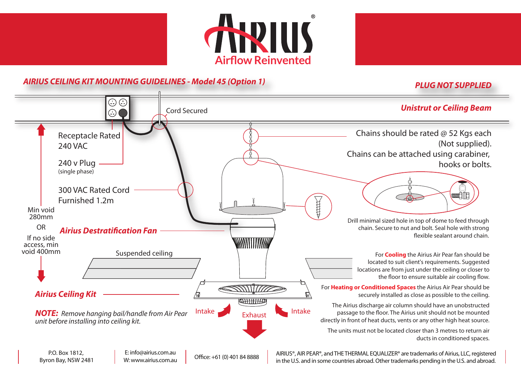



## **PLUG NOT SUPPLIED AIRIUS CEILING KIT MOUNTING GUIDELINES - Model 45 (Option 1)**

## $\odot$ Cord Secured **Unistrut or Ceiling Beam**  $\bigodot$ Chains should be rated @ 52 Kgs each Receptacle Rated (Not supplied). 240 VAC Chains can be attached using carabiner, 240 v Plug hooks or bolts. (single phase) 300 VAC Rated Cord **EXAMPLE** Furnished 1.2m Min void 280mm Drill minimal sized hole in top of dome to feed through OR chain. Secure to nut and bolt. Seal hole with strong **Airius Destratification Fan** flexible sealant around chain. If no side WWWWWW access, min void 400mm Suspended ceiling For **Cooling** the Airius Air Pear fan should be located to suit client's requirements. Suggested locations are from just under the ceiling or closer to the floor to ensure suitable air cooling flow. SIMITTE For **Heating or Conditioned Spaces** the Airius Air Pear should be **Airius Ceiling Kit** securely installed as close as possible to the ceiling. **KELLHHHAD** The Airius discharge air column should have an unobstructed Intake Exhaust Intake passage to the floor. The Airius unit should not be mounted **NOTE:** Remove hanging bail/handle from Air Pear directly in front of heat ducts, vents or any other high heat source. unit before installing into ceiling kit. The units must not be located closer than 3 metres to return air ducts in conditioned spaces.

P.O. Box 1812, Byron Bay, NSW 2481

E: info@airius.com.au <br>
Office: +61 (0) 401 84 8888 W: www.airius.com.au

AIRIUS®, AIR PEAR®, and THE THERMAL EQUALIZER® are trademarks of Airius, LLC, registered in the U.S. and in some countries abroad. Other trademarks pending in the U.S. and abroad.